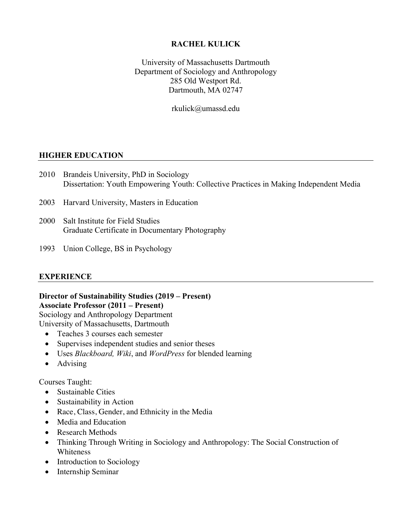## **RACHEL KULICK**

University of Massachusetts Dartmouth Department of Sociology and Anthropology 285 Old Westport Rd. Dartmouth, MA 02747

rkulick@umassd.edu

#### **HIGHER EDUCATION**

| 2010 Brandeis University, PhD in Sociology                                             |
|----------------------------------------------------------------------------------------|
| Dissertation: Youth Empowering Youth: Collective Practices in Making Independent Media |

- 2003 Harvard University, Masters in Education
- 2000 Salt Institute for Field Studies Graduate Certificate in Documentary Photography
- 1993 Union College, BS in Psychology

#### **EXPERIENCE**

# **Director of Sustainability Studies (2019 – Present)**

### **Associate Professor (2011 – Present)**

Sociology and Anthropology Department University of Massachusetts, Dartmouth

- Teaches 3 courses each semester
- Supervises independent studies and senior theses
- Uses *Blackboard, Wiki*, and *WordPress* for blended learning
- Advising

#### Courses Taught:

- Sustainable Cities
- Sustainability in Action
- Race, Class, Gender, and Ethnicity in the Media
- Media and Education
- Research Methods
- Thinking Through Writing in Sociology and Anthropology: The Social Construction of Whiteness
- Introduction to Sociology
- Internship Seminar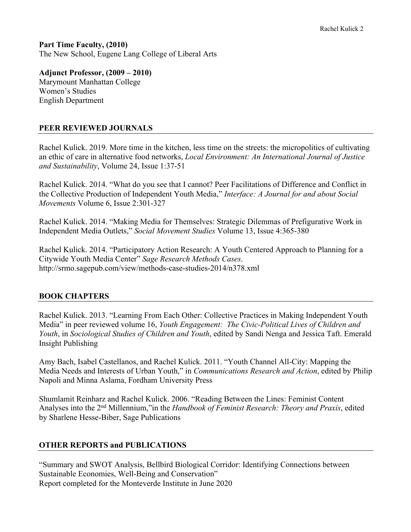**Part Time Faculty, (2010)** The New School, Eugene Lang College of Liberal Arts

**Adjunct Professor, (2009 – 2010)** Marymount Manhattan College Women's Studies English Department

## **PEER REVIEWED JOURNALS**

Rachel Kulick. 2019. More time in the kitchen, less time on the streets: the micropolitics of cultivating an ethic of care in alternative food networks, *Local Environment: An International Journal of Justice and Sustainability*, Volume 24, Issue 1:37-51

Rachel Kulick. 2014. "What do you see that I cannot? Peer Facilitations of Difference and Conflict in the Collective Production of Independent Youth Media," *Interface: A Journal for and about Social Movements* Volume 6, Issue 2:301-327

Rachel Kulick. 2014. "Making Media for Themselves: Strategic Dilemmas of Prefigurative Work in Independent Media Outlets," *Social Movement Studies* Volume 13, Issue 4:365-380

Rachel Kulick. 2014. "Participatory Action Research: A Youth Centered Approach to Planning for a Citywide Youth Media Center" *Sage Research Methods Cases*. http://srmo.sagepub.com/view/methods-case-studies-2014/n378.xml

### **BOOK CHAPTERS**

Rachel Kulick. 2013. "Learning From Each Other: Collective Practices in Making Independent Youth Media" in peer reviewed volume 16, *Youth Engagement: The Civic-Political Lives of Children and Youth*, in *Sociological Studies of Children and Youth*, edited by Sandi Nenga and Jessica Taft. Emerald Insight Publishing

Amy Bach, Isabel Castellanos, and Rachel Kulick. 2011. "Youth Channel All-City: Mapping the Media Needs and Interests of Urban Youth," in *Communications Research and Action*, edited by Philip Napoli and Minna Aslama, Fordham University Press

Shumlamit Reinharz and Rachel Kulick. 2006. "Reading Between the Lines: Feminist Content Analyses into the 2nd Millennium,"in the *Handbook of Feminist Research: Theory and Praxis*, edited by Sharlene Hesse-Biber, Sage Publications

## **OTHER REPORTS and PUBLICATIONS**

"Summary and SWOT Analysis, Bellbird Biological Corridor: Identifying Connections between Sustainable Economies, Well-Being and Conservation" Report completed for the Monteverde Institute in June 2020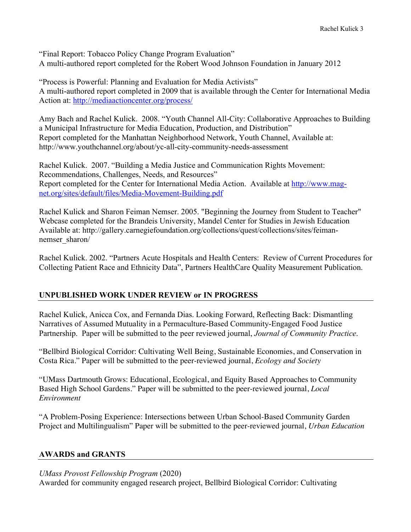"Final Report: Tobacco Policy Change Program Evaluation" A multi-authored report completed for the Robert Wood Johnson Foundation in January 2012

"Process is Powerful: Planning and Evaluation for Media Activists" A multi-authored report completed in 2009 that is available through the Center for International Media Action at: http://mediaactioncenter.org/process/

Amy Bach and Rachel Kulick. 2008. "Youth Channel All-City: Collaborative Approaches to Building a Municipal Infrastructure for Media Education, Production, and Distribution" Report completed for the Manhattan Neighborhood Network, Youth Channel, Available at: http://www.youthchannel.org/about/yc-all-city-community-needs-assessment

Rachel Kulick. 2007. "Building a Media Justice and Communication Rights Movement: Recommendations, Challenges, Needs, and Resources" Report completed for the Center for International Media Action. Available at http://www.magnet.org/sites/default/files/Media-Movement-Building.pdf

Rachel Kulick and Sharon Feiman Nemser. 2005. "Beginning the Journey from Student to Teacher" Webcase completed for the Brandeis University, Mandel Center for Studies in Jewish Education Available at: http://gallery.carnegiefoundation.org/collections/quest/collections/sites/feimannemser\_sharon/

Rachel Kulick. 2002. "Partners Acute Hospitals and Health Centers: Review of Current Procedures for Collecting Patient Race and Ethnicity Data", Partners HealthCare Quality Measurement Publication.

## **UNPUBLISHED WORK UNDER REVIEW or IN PROGRESS**

Rachel Kulick, Anicca Cox, and Fernanda Dias. Looking Forward, Reflecting Back: Dismantling Narratives of Assumed Mutuality in a Permaculture-Based Community-Engaged Food Justice Partnership. Paper will be submitted to the peer reviewed journal, *Journal of Community Practice*.

"Bellbird Biological Corridor: Cultivating Well Being, Sustainable Economies, and Conservation in Costa Rica." Paper will be submitted to the peer-reviewed journal, *Ecology and Society*

"UMass Dartmouth Grows: Educational, Ecological, and Equity Based Approaches to Community Based High School Gardens." Paper will be submitted to the peer-reviewed journal, *Local Environment*

"A Problem-Posing Experience: Intersections between Urban School-Based Community Garden Project and Multilingualism" Paper will be submitted to the peer-reviewed journal, *Urban Education*

## **AWARDS and GRANTS**

### *UMass Provost Fellowship Program* (2020)

Awarded for community engaged research project, Bellbird Biological Corridor: Cultivating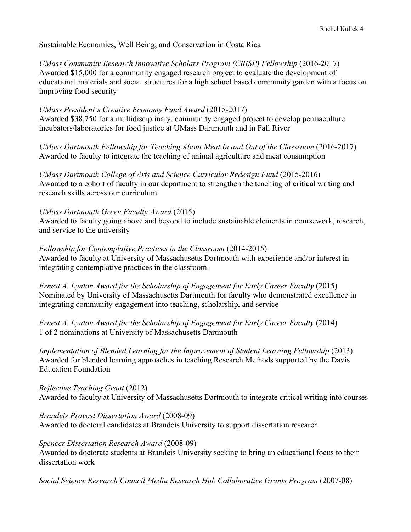Sustainable Economies, Well Being, and Conservation in Costa Rica

*UMass Community Research Innovative Scholars Program (CRISP) Fellowship* (2016-2017) Awarded \$15,000 for a community engaged research project to evaluate the development of educational materials and social structures for a high school based community garden with a focus on improving food security

*UMass President's Creative Economy Fund Award* (2015-2017) Awarded \$38,750 for a multidisciplinary, community engaged project to develop permaculture incubators/laboratories for food justice at UMass Dartmouth and in Fall River

*UMass Dartmouth Fellowship for Teaching About Meat In and Out of the Classroom* (2016-2017) Awarded to faculty to integrate the teaching of animal agriculture and meat consumption

*UMass Dartmouth College of Arts and Science Curricular Redesign Fund* (2015-2016) Awarded to a cohort of faculty in our department to strengthen the teaching of critical writing and research skills across our curriculum

### *UMass Dartmouth Green Faculty Award* (2015)

Awarded to faculty going above and beyond to include sustainable elements in coursework, research, and service to the university

*Fellowship for Contemplative Practices in the Classroom (2014-2015)* Awarded to faculty at University of Massachusetts Dartmouth with experience and/or interest in integrating contemplative practices in the classroom.

*Ernest A. Lynton Award for the Scholarship of Engagement for Early Career Faculty* (2015) Nominated by University of Massachusetts Dartmouth for faculty who demonstrated excellence in integrating community engagement into teaching, scholarship, and service

*Ernest A. Lynton Award for the Scholarship of Engagement for Early Career Faculty* (2014) 1 of 2 nominations at University of Massachusetts Dartmouth

*Implementation of Blended Learning for the Improvement of Student Learning Fellowship* (2013) Awarded for blended learning approaches in teaching Research Methods supported by the Davis Education Foundation

*Reflective Teaching Grant* (2012) Awarded to faculty at University of Massachusetts Dartmouth to integrate critical writing into courses

*Brandeis Provost Dissertation Award* (2008-09) Awarded to doctoral candidates at Brandeis University to support dissertation research

## *Spencer Dissertation Research Award* (2008-09)

Awarded to doctorate students at Brandeis University seeking to bring an educational focus to their dissertation work

*Social Science Research Council Media Research Hub Collaborative Grants Program* (2007-08)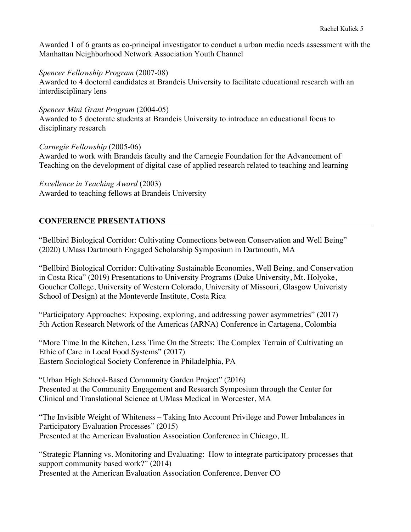Awarded 1 of 6 grants as co-principal investigator to conduct a urban media needs assessment with the Manhattan Neighborhood Network Association Youth Channel

#### *Spencer Fellowship Program* (2007-08)

Awarded to 4 doctoral candidates at Brandeis University to facilitate educational research with an interdisciplinary lens

### *Spencer Mini Grant Program* (2004-05)

Awarded to 5 doctorate students at Brandeis University to introduce an educational focus to disciplinary research

### *Carnegie Fellowship* (2005-06)

Awarded to work with Brandeis faculty and the Carnegie Foundation for the Advancement of Teaching on the development of digital case of applied research related to teaching and learning

## *Excellence in Teaching Award* (2003)

Awarded to teaching fellows at Brandeis University

## **CONFERENCE PRESENTATIONS**

"Bellbird Biological Corridor: Cultivating Connections between Conservation and Well Being" (2020) UMass Dartmouth Engaged Scholarship Symposium in Dartmouth, MA

"Bellbird Biological Corridor: Cultivating Sustainable Economies, Well Being, and Conservation in Costa Rica" (2019) Presentations to University Programs (Duke University, Mt. Holyoke, Goucher College, University of Western Colorado, University of Missouri, Glasgow Univeristy School of Design) at the Monteverde Institute, Costa Rica

"Participatory Approaches: Exposing, exploring, and addressing power asymmetries" (2017) 5th Action Research Network of the Americas (ARNA) Conference in Cartagena, Colombia

"More Time In the Kitchen, Less Time On the Streets: The Complex Terrain of Cultivating an Ethic of Care in Local Food Systems" (2017) Eastern Sociological Society Conference in Philadelphia, PA

"Urban High School-Based Community Garden Project" (2016) Presented at the Community Engagement and Research Symposium through the Center for Clinical and Translational Science at UMass Medical in Worcester, MA

"The Invisible Weight of Whiteness – Taking Into Account Privilege and Power Imbalances in Participatory Evaluation Processes" (2015) Presented at the American Evaluation Association Conference in Chicago, IL

"Strategic Planning vs. Monitoring and Evaluating: How to integrate participatory processes that support community based work?" (2014) Presented at the American Evaluation Association Conference, Denver CO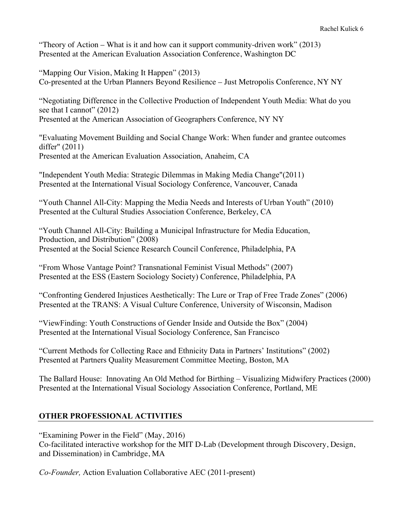"Theory of Action – What is it and how can it support community-driven work" (2013) Presented at the American Evaluation Association Conference, Washington DC

"Mapping Our Vision, Making It Happen" (2013) Co-presented at the Urban Planners Beyond Resilience – Just Metropolis Conference, NY NY

"Negotiating Difference in the Collective Production of Independent Youth Media: What do you see that I cannot" (2012) Presented at the American Association of Geographers Conference, NY NY

"Evaluating Movement Building and Social Change Work: When funder and grantee outcomes differ" (2011) Presented at the American Evaluation Association, Anaheim, CA

"Independent Youth Media: Strategic Dilemmas in Making Media Change"(2011) Presented at the International Visual Sociology Conference, Vancouver, Canada

"Youth Channel All-City: Mapping the Media Needs and Interests of Urban Youth" (2010) Presented at the Cultural Studies Association Conference, Berkeley, CA

"Youth Channel All-City: Building a Municipal Infrastructure for Media Education, Production, and Distribution" (2008) Presented at the Social Science Research Council Conference, Philadelphia, PA

"From Whose Vantage Point? Transnational Feminist Visual Methods" (2007) Presented at the ESS (Eastern Sociology Society) Conference, Philadelphia, PA

"Confronting Gendered Injustices Aesthetically: The Lure or Trap of Free Trade Zones" (2006) Presented at the TRANS: A Visual Culture Conference, University of Wisconsin, Madison

"ViewFinding: Youth Constructions of Gender Inside and Outside the Box" (2004) Presented at the International Visual Sociology Conference, San Francisco

"Current Methods for Collecting Race and Ethnicity Data in Partners' Institutions" (2002) Presented at Partners Quality Measurement Committee Meeting, Boston, MA

The Ballard House: Innovating An Old Method for Birthing – Visualizing Midwifery Practices (2000) Presented at the International Visual Sociology Association Conference, Portland, ME

## **OTHER PROFESSIONAL ACTIVITIES**

"Examining Power in the Field" (May, 2016) Co-facilitated interactive workshop for the MIT D-Lab (Development through Discovery, Design, and Dissemination) in Cambridge, MA

*Co-Founder,* Action Evaluation Collaborative AEC (2011-present)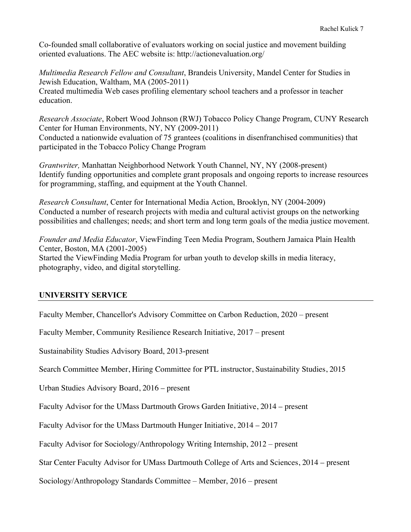Co-founded small collaborative of evaluators working on social justice and movement building oriented evaluations. The AEC website is: http://actionevaluation.org/

*Multimedia Research Fellow and Consultant*, Brandeis University, Mandel Center for Studies in Jewish Education, Waltham, MA (2005-2011) Created multimedia Web cases profiling elementary school teachers and a professor in teacher education.

*Research Associate*, Robert Wood Johnson (RWJ) Tobacco Policy Change Program, CUNY Research Center for Human Environments, NY, NY (2009-2011) Conducted a nationwide evaluation of 75 grantees (coalitions in disenfranchised communities) that participated in the Tobacco Policy Change Program

*Grantwriter,* Manhattan Neighborhood Network Youth Channel, NY, NY (2008-present) Identify funding opportunities and complete grant proposals and ongoing reports to increase resources for programming, staffing, and equipment at the Youth Channel.

*Research Consultant*, Center for International Media Action, Brooklyn, NY (2004-2009) Conducted a number of research projects with media and cultural activist groups on the networking possibilities and challenges; needs; and short term and long term goals of the media justice movement.

*Founder and Media Educator*, ViewFinding Teen Media Program, Southern Jamaica Plain Health Center, Boston, MA (2001-2005) Started the ViewFinding Media Program for urban youth to develop skills in media literacy, photography, video, and digital storytelling.

## **UNIVERSITY SERVICE**

Faculty Member, Chancellor's Advisory Committee on Carbon Reduction, 2020 – present

Faculty Member, Community Resilience Research Initiative, 2017 – present

Sustainability Studies Advisory Board, 2013-present

Search Committee Member, Hiring Committee for PTL instructor, Sustainability Studies, 2015

Urban Studies Advisory Board, 2016 – present

Faculty Advisor for the UMass Dartmouth Grows Garden Initiative, 2014 – present

Faculty Advisor for the UMass Dartmouth Hunger Initiative, 2014 – 2017

Faculty Advisor for Sociology/Anthropology Writing Internship, 2012 – present

Star Center Faculty Advisor for UMass Dartmouth College of Arts and Sciences, 2014 – present

Sociology/Anthropology Standards Committee – Member, 2016 – present